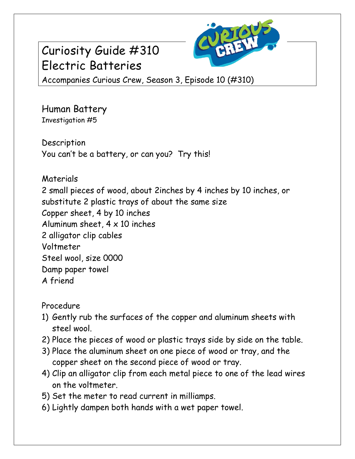## Curiosity Guide #310 Electric Batteries



Accompanies Curious Crew, Season 3, Episode 10 (#310)

Human Battery Investigation #5

**Description** You can't be a battery, or can you? Try this!

Materials

2 small pieces of wood, about 2inches by 4 inches by 10 inches, or substitute 2 plastic trays of about the same size Copper sheet, 4 by 10 inches Aluminum sheet,  $4 \times 10$  inches 2 alligator clip cables Voltmeter Steel wool, size 0000 Damp paper towel A friend

Procedure

- 1) Gently rub the surfaces of the copper and aluminum sheets with steel wool.
- 2) Place the pieces of wood or plastic trays side by side on the table.
- 3) Place the aluminum sheet on one piece of wood or tray, and the copper sheet on the second piece of wood or tray.
- 4) Clip an alligator clip from each metal piece to one of the lead wires on the voltmeter.
- 5) Set the meter to read current in milliamps.
- 6) Lightly dampen both hands with a wet paper towel.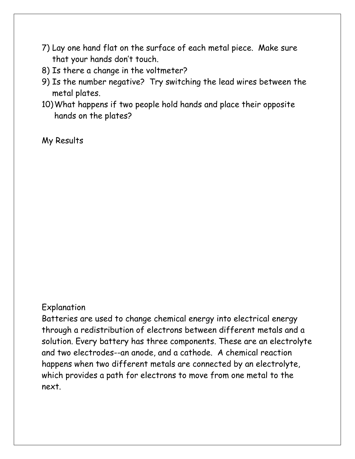- 7) Lay one hand flat on the surface of each metal piece. Make sure that your hands don't touch.
- 8) Is there a change in the voltmeter?
- 9) Is the number negative? Try switching the lead wires between the metal plates.
- 10)What happens if two people hold hands and place their opposite hands on the plates?

My Results

## Explanation

Batteries are used to change chemical energy into electrical energy through a redistribution of electrons between different metals and a solution. Every battery has three components. These are an electrolyte and two electrodes--an anode, and a cathode. A chemical reaction happens when two different metals are connected by an electrolyte, which provides a path for electrons to move from one metal to the next.